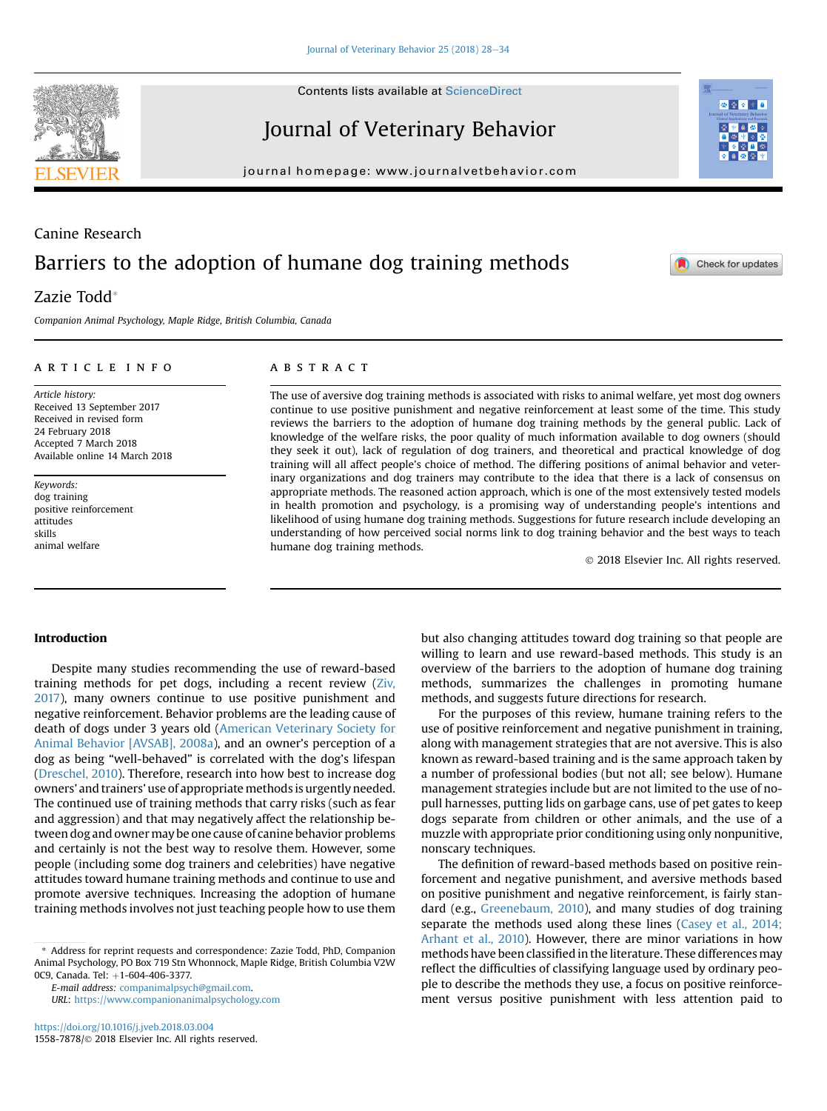**Contents lists available at ScienceDirect** 

Journal of Veterinary Behavior

journal homepage: [www.journalvetbehavior.com](http://www.journalvetbehavior.com)

# Canine Research Barriers to the adoption of humane dog training methods

# Zazie Todd\*

Companion Animal Psychology, Maple Ridge, British Columbia, Canada

#### article info

Article history: Received 13 September 2017 Received in revised form 24 February 2018 Accepted 7 March 2018 Available online 14 March 2018

Keywords: dog training positive reinforcement attitudes skills animal welfare

## **ABSTRACT**

The use of aversive dog training methods is associated with risks to animal welfare, yet most dog owners continue to use positive punishment and negative reinforcement at least some of the time. This study reviews the barriers to the adoption of humane dog training methods by the general public. Lack of knowledge of the welfare risks, the poor quality of much information available to dog owners (should they seek it out), lack of regulation of dog trainers, and theoretical and practical knowledge of dog training will all affect people's choice of method. The differing positions of animal behavior and veterinary organizations and dog trainers may contribute to the idea that there is a lack of consensus on appropriate methods. The reasoned action approach, which is one of the most extensively tested models in health promotion and psychology, is a promising way of understanding people's intentions and likelihood of using humane dog training methods. Suggestions for future research include developing an understanding of how perceived social norms link to dog training behavior and the best ways to teach humane dog training methods.

2018 Elsevier Inc. All rights reserved.

#### Introduction

Despite many studies recommending the use of reward-based training methods for pet dogs, including a recent review ([Ziv,](#page-6-0) [2017\)](#page-6-0), many owners continue to use positive punishment and negative reinforcement. Behavior problems are the leading cause of death of dogs under 3 years old ([American Veterinary Society for](#page-5-0) [Animal Behavior \[AVSAB\], 2008a\)](#page-5-0), and an owner's perception of a dog as being "well-behaved" is correlated with the dog's lifespan ([Dreschel, 2010](#page-5-0)). Therefore, research into how best to increase dog owners' and trainers' use of appropriate methods is urgently needed. The continued use of training methods that carry risks (such as fear and aggression) and that may negatively affect the relationship between dog and owner may be one cause of canine behavior problems and certainly is not the best way to resolve them. However, some people (including some dog trainers and celebrities) have negative attitudes toward humane training methods and continue to use and promote aversive techniques. Increasing the adoption of humane training methods involves not just teaching people how to use them

\* Address for reprint requests and correspondence: Zazie Todd, PhD, Companion Animal Psychology, PO Box 719 Stn Whonnock, Maple Ridge, British Columbia V2W 0C9, Canada. Tel: +1-604-406-3377.

E-mail address: [companimalpsych@gmail.com.](mailto:companimalpsych@gmail.com) URL: <https://www.companionanimalpsychology.com> but also changing attitudes toward dog training so that people are willing to learn and use reward-based methods. This study is an overview of the barriers to the adoption of humane dog training methods, summarizes the challenges in promoting humane methods, and suggests future directions for research.

For the purposes of this review, humane training refers to the use of positive reinforcement and negative punishment in training, along with management strategies that are not aversive. This is also known as reward-based training and is the same approach taken by a number of professional bodies (but not all; see below). Humane management strategies include but are not limited to the use of nopull harnesses, putting lids on garbage cans, use of pet gates to keep dogs separate from children or other animals, and the use of a muzzle with appropriate prior conditioning using only nonpunitive, nonscary techniques.

The definition of reward-based methods based on positive reinforcement and negative punishment, and aversive methods based on positive punishment and negative reinforcement, is fairly standard (e.g., [Greenebaum, 2010](#page-5-0)), and many studies of dog training separate the methods used along these lines ([Casey et al., 2014;](#page-5-0) [Arhant et al., 2010](#page-5-0)). However, there are minor variations in how methods have been classified in the literature. These differences may reflect the difficulties of classifying language used by ordinary people to describe the methods they use, a focus on positive reinforcement versus positive punishment with less attention paid to





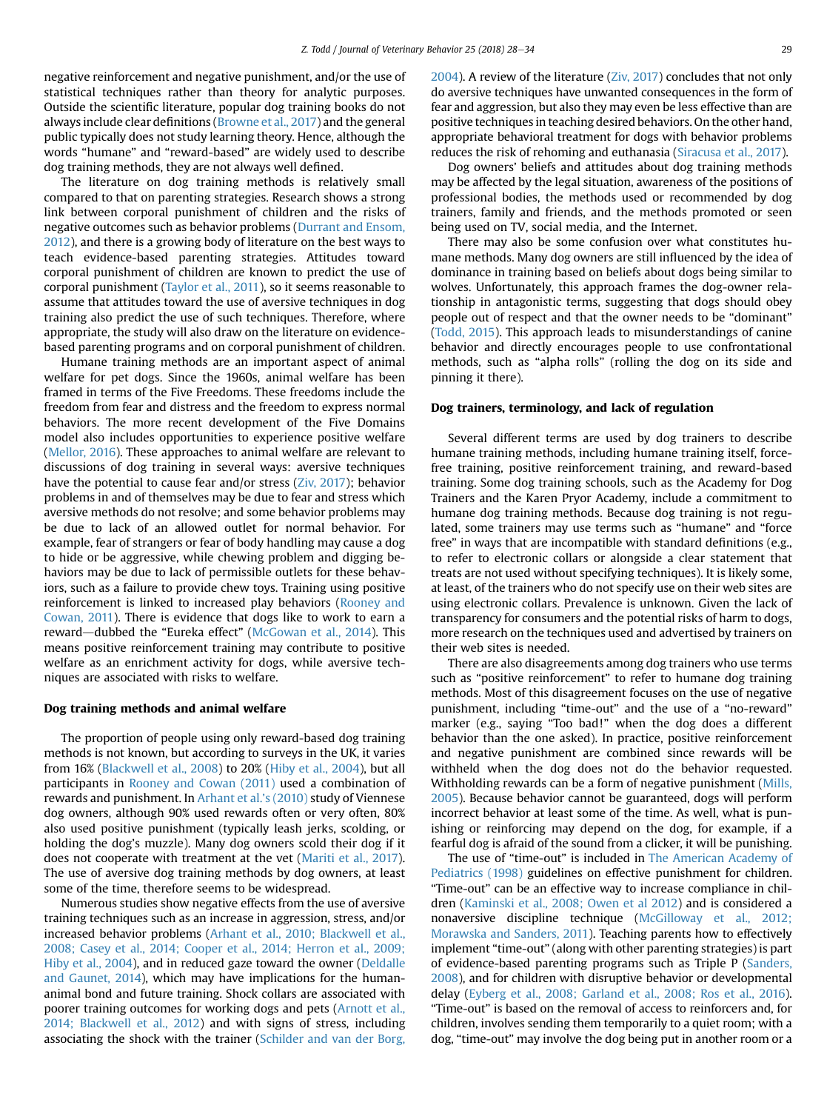negative reinforcement and negative punishment, and/or the use of statistical techniques rather than theory for analytic purposes. Outside the scientific literature, popular dog training books do not always include clear definitions ([Browne et al., 2017\)](#page-5-0) and the general public typically does not study learning theory. Hence, although the words "humane" and "reward-based" are widely used to describe dog training methods, they are not always well defined.

The literature on dog training methods is relatively small compared to that on parenting strategies. Research shows a strong link between corporal punishment of children and the risks of negative outcomes such as behavior problems [\(Durrant and Ensom,](#page-5-0) [2012](#page-5-0)), and there is a growing body of literature on the best ways to teach evidence-based parenting strategies. Attitudes toward corporal punishment of children are known to predict the use of corporal punishment [\(Taylor et al., 2011\)](#page-6-0), so it seems reasonable to assume that attitudes toward the use of aversive techniques in dog training also predict the use of such techniques. Therefore, where appropriate, the study will also draw on the literature on evidencebased parenting programs and on corporal punishment of children.

Humane training methods are an important aspect of animal welfare for pet dogs. Since the 1960s, animal welfare has been framed in terms of the Five Freedoms. These freedoms include the freedom from fear and distress and the freedom to express normal behaviors. The more recent development of the Five Domains model also includes opportunities to experience positive welfare ([Mellor, 2016\)](#page-6-0). These approaches to animal welfare are relevant to discussions of dog training in several ways: aversive techniques have the potential to cause fear and/or stress ([Ziv, 2017\)](#page-6-0); behavior problems in and of themselves may be due to fear and stress which aversive methods do not resolve; and some behavior problems may be due to lack of an allowed outlet for normal behavior. For example, fear of strangers or fear of body handling may cause a dog to hide or be aggressive, while chewing problem and digging behaviors may be due to lack of permissible outlets for these behaviors, such as a failure to provide chew toys. Training using positive reinforcement is linked to increased play behaviors [\(Rooney and](#page-6-0) [Cowan, 2011](#page-6-0)). There is evidence that dogs like to work to earn a reward—dubbed the "Eureka effect" ([McGowan et al., 2014\)](#page-6-0). This means positive reinforcement training may contribute to positive welfare as an enrichment activity for dogs, while aversive techniques are associated with risks to welfare.

#### Dog training methods and animal welfare

The proportion of people using only reward-based dog training methods is not known, but according to surveys in the UK, it varies from 16% [\(Blackwell et al., 2008](#page-5-0)) to 20% [\(Hiby et al., 2004\)](#page-5-0), but all participants in [Rooney and Cowan \(2011\)](#page-6-0) used a combination of rewards and punishment. In [Arhant et al.](#page-5-0)'s (2010) study of Viennese dog owners, although 90% used rewards often or very often, 80% also used positive punishment (typically leash jerks, scolding, or holding the dog's muzzle). Many dog owners scold their dog if it does not cooperate with treatment at the vet [\(Mariti et al., 2017](#page-6-0)). The use of aversive dog training methods by dog owners, at least some of the time, therefore seems to be widespread.

Numerous studies show negative effects from the use of aversive training techniques such as an increase in aggression, stress, and/or increased behavior problems [\(Arhant et al., 2010; Blackwell et al.,](#page-5-0) [2008; Casey et al., 2014; Cooper et al., 2014; Herron et al., 2009;](#page-5-0) [Hiby et al., 2004](#page-5-0)), and in reduced gaze toward the owner ([Deldalle](#page-5-0) [and Gaunet, 2014](#page-5-0)), which may have implications for the humananimal bond and future training. Shock collars are associated with poorer training outcomes for working dogs and pets [\(Arnott et al.,](#page-5-0) [2014; Blackwell et al., 2012](#page-5-0)) and with signs of stress, including associating the shock with the trainer [\(Schilder and van der Borg,](#page-6-0)

[2004](#page-6-0)). A review of the literature [\(Ziv, 2017\)](#page-6-0) concludes that not only do aversive techniques have unwanted consequences in the form of fear and aggression, but also they may even be less effective than are positive techniques in teaching desired behaviors. On the other hand, appropriate behavioral treatment for dogs with behavior problems reduces the risk of rehoming and euthanasia [\(Siracusa et al., 2017\)](#page-6-0).

Dog owners' beliefs and attitudes about dog training methods may be affected by the legal situation, awareness of the positions of professional bodies, the methods used or recommended by dog trainers, family and friends, and the methods promoted or seen being used on TV, social media, and the Internet.

There may also be some confusion over what constitutes humane methods. Many dog owners are still influenced by the idea of dominance in training based on beliefs about dogs being similar to wolves. Unfortunately, this approach frames the dog-owner relationship in antagonistic terms, suggesting that dogs should obey people out of respect and that the owner needs to be "dominant" [\(Todd, 2015\)](#page-6-0). This approach leads to misunderstandings of canine behavior and directly encourages people to use confrontational methods, such as "alpha rolls" (rolling the dog on its side and pinning it there).

#### Dog trainers, terminology, and lack of regulation

Several different terms are used by dog trainers to describe humane training methods, including humane training itself, forcefree training, positive reinforcement training, and reward-based training. Some dog training schools, such as the Academy for Dog Trainers and the Karen Pryor Academy, include a commitment to humane dog training methods. Because dog training is not regulated, some trainers may use terms such as "humane" and "force free" in ways that are incompatible with standard definitions (e.g., to refer to electronic collars or alongside a clear statement that treats are not used without specifying techniques). It is likely some, at least, of the trainers who do not specify use on their web sites are using electronic collars. Prevalence is unknown. Given the lack of transparency for consumers and the potential risks of harm to dogs, more research on the techniques used and advertised by trainers on their web sites is needed.

There are also disagreements among dog trainers who use terms such as "positive reinforcement" to refer to humane dog training methods. Most of this disagreement focuses on the use of negative punishment, including "time-out" and the use of a "no-reward" marker (e.g., saying "Too bad!" when the dog does a different behavior than the one asked). In practice, positive reinforcement and negative punishment are combined since rewards will be withheld when the dog does not do the behavior requested. Withholding rewards can be a form of negative punishment ([Mills,](#page-6-0) [2005\)](#page-6-0). Because behavior cannot be guaranteed, dogs will perform incorrect behavior at least some of the time. As well, what is punishing or reinforcing may depend on the dog, for example, if a fearful dog is afraid of the sound from a clicker, it will be punishing.

The use of "time-out" is included in [The American Academy of](#page-5-0) [Pediatrics \(1998\)](#page-5-0) guidelines on effective punishment for children. "Time-out" can be an effective way to increase compliance in children ([Kaminski et al., 2008; Owen et al 2012](#page-5-0)) and is considered a nonaversive discipline technique [\(McGilloway et al., 2012;](#page-6-0) [Morawska and Sanders, 2011](#page-6-0)). Teaching parents how to effectively implement "time-out" (along with other parenting strategies) is part of evidence-based parenting programs such as Triple P ([Sanders,](#page-6-0) [2008](#page-6-0)), and for children with disruptive behavior or developmental delay ([Eyberg et al., 2008; Garland et al., 2008; Ros et al., 2016](#page-5-0)). "Time-out" is based on the removal of access to reinforcers and, for children, involves sending them temporarily to a quiet room; with a dog, "time-out" may involve the dog being put in another room or a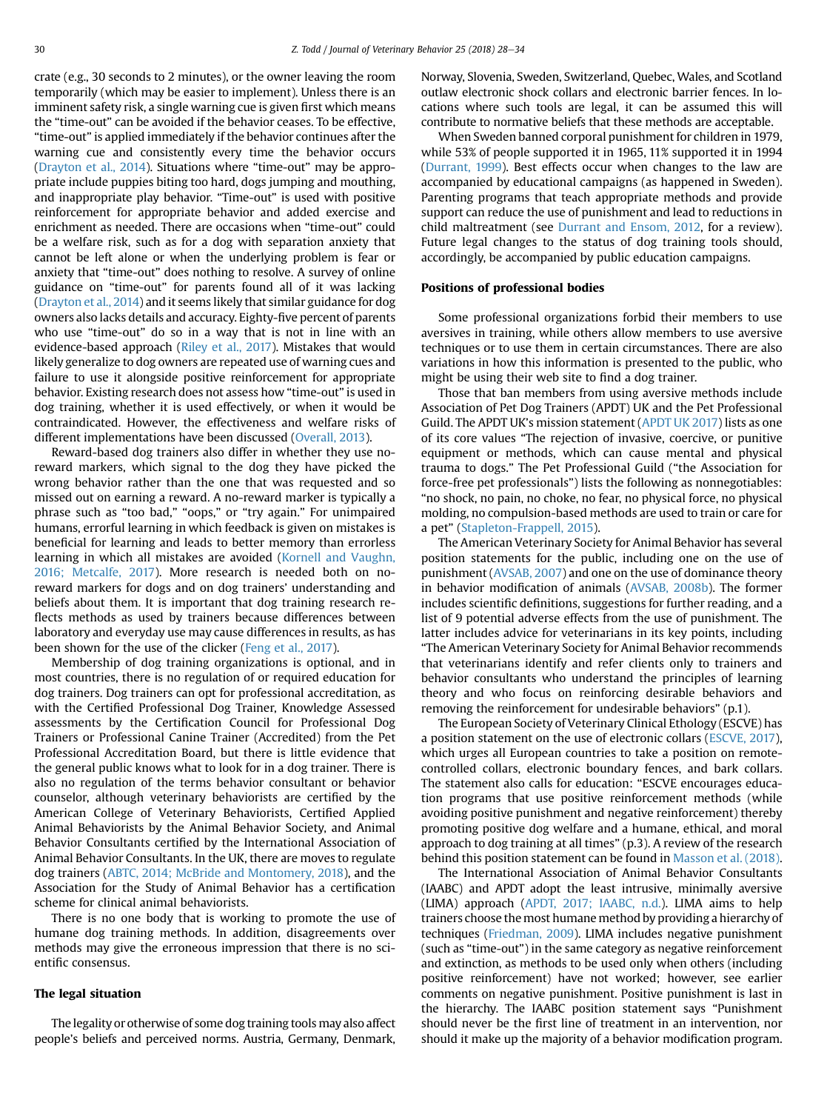crate (e.g., 30 seconds to 2 minutes), or the owner leaving the room temporarily (which may be easier to implement). Unless there is an imminent safety risk, a single warning cue is given first which means the "time-out" can be avoided if the behavior ceases. To be effective, "time-out" is applied immediately if the behavior continues after the warning cue and consistently every time the behavior occurs ([Drayton et al., 2014\)](#page-5-0). Situations where "time-out" may be appropriate include puppies biting too hard, dogs jumping and mouthing, and inappropriate play behavior. "Time-out" is used with positive reinforcement for appropriate behavior and added exercise and enrichment as needed. There are occasions when "time-out" could be a welfare risk, such as for a dog with separation anxiety that cannot be left alone or when the underlying problem is fear or anxiety that "time-out" does nothing to resolve. A survey of online guidance on "time-out" for parents found all of it was lacking ([Drayton et al., 2014](#page-5-0)) and it seems likely that similar guidance for dog owners also lacks details and accuracy. Eighty-five percent of parents who use "time-out" do so in a way that is not in line with an evidence-based approach [\(Riley et al., 2017](#page-6-0)). Mistakes that would likely generalize to dog owners are repeated use of warning cues and failure to use it alongside positive reinforcement for appropriate behavior. Existing research does not assess how "time-out" is used in dog training, whether it is used effectively, or when it would be contraindicated. However, the effectiveness and welfare risks of different implementations have been discussed ([Overall, 2013\)](#page-6-0).

Reward-based dog trainers also differ in whether they use noreward markers, which signal to the dog they have picked the wrong behavior rather than the one that was requested and so missed out on earning a reward. A no-reward marker is typically a phrase such as "too bad," "oops," or "try again." For unimpaired humans, errorful learning in which feedback is given on mistakes is beneficial for learning and leads to better memory than errorless learning in which all mistakes are avoided [\(Kornell and Vaughn,](#page-6-0) [2016; Metcalfe, 2017\)](#page-6-0). More research is needed both on noreward markers for dogs and on dog trainers' understanding and beliefs about them. It is important that dog training research reflects methods as used by trainers because differences between laboratory and everyday use may cause differences in results, as has been shown for the use of the clicker ([Feng et al., 2017\)](#page-5-0).

Membership of dog training organizations is optional, and in most countries, there is no regulation of or required education for dog trainers. Dog trainers can opt for professional accreditation, as with the Certified Professional Dog Trainer, Knowledge Assessed assessments by the Certification Council for Professional Dog Trainers or Professional Canine Trainer (Accredited) from the Pet Professional Accreditation Board, but there is little evidence that the general public knows what to look for in a dog trainer. There is also no regulation of the terms behavior consultant or behavior counselor, although veterinary behaviorists are certified by the American College of Veterinary Behaviorists, Certified Applied Animal Behaviorists by the Animal Behavior Society, and Animal Behavior Consultants certified by the International Association of Animal Behavior Consultants. In the UK, there are moves to regulate dog trainers ([ABTC, 2014; McBride and Montomery, 2018](#page-5-0)), and the Association for the Study of Animal Behavior has a certification scheme for clinical animal behaviorists.

There is no one body that is working to promote the use of humane dog training methods. In addition, disagreements over methods may give the erroneous impression that there is no scientific consensus.

#### The legal situation

The legality or otherwise of some dog training tools may also affect people's beliefs and perceived norms. Austria, Germany, Denmark, Norway, Slovenia, Sweden, Switzerland, Quebec, Wales, and Scotland outlaw electronic shock collars and electronic barrier fences. In locations where such tools are legal, it can be assumed this will contribute to normative beliefs that these methods are acceptable.

When Sweden banned corporal punishment for children in 1979, while 53% of people supported it in 1965, 11% supported it in 1994 ([Durrant, 1999\)](#page-5-0). Best effects occur when changes to the law are accompanied by educational campaigns (as happened in Sweden). Parenting programs that teach appropriate methods and provide support can reduce the use of punishment and lead to reductions in child maltreatment (see [Durrant and Ensom, 2012](#page-5-0), for a review). Future legal changes to the status of dog training tools should, accordingly, be accompanied by public education campaigns.

#### Positions of professional bodies

Some professional organizations forbid their members to use aversives in training, while others allow members to use aversive techniques or to use them in certain circumstances. There are also variations in how this information is presented to the public, who might be using their web site to find a dog trainer.

Those that ban members from using aversive methods include Association of Pet Dog Trainers (APDT) UK and the Pet Professional Guild. The APDT UK's mission statement [\(APDT UK 2017](#page-5-0)) lists as one of its core values "The rejection of invasive, coercive, or punitive equipment or methods, which can cause mental and physical trauma to dogs." The Pet Professional Guild ("the Association for force-free pet professionals") lists the following as nonnegotiables: "no shock, no pain, no choke, no fear, no physical force, no physical molding, no compulsion-based methods are used to train or care for a pet" ([Stapleton-Frappell, 2015\)](#page-6-0).

The American Veterinary Society for Animal Behavior has several position statements for the public, including one on the use of punishment [\(AVSAB, 2007\)](#page-5-0) and one on the use of dominance theory in behavior modification of animals [\(AVSAB, 2008b\)](#page-5-0). The former includes scientific definitions, suggestions for further reading, and a list of 9 potential adverse effects from the use of punishment. The latter includes advice for veterinarians in its key points, including "The American Veterinary Society for Animal Behavior recommends that veterinarians identify and refer clients only to trainers and behavior consultants who understand the principles of learning theory and who focus on reinforcing desirable behaviors and removing the reinforcement for undesirable behaviors" (p.1).

The European Society of Veterinary Clinical Ethology (ESCVE) has a position statement on the use of electronic collars [\(ESCVE, 2017](#page-5-0)), which urges all European countries to take a position on remotecontrolled collars, electronic boundary fences, and bark collars. The statement also calls for education: "ESCVE encourages education programs that use positive reinforcement methods (while avoiding positive punishment and negative reinforcement) thereby promoting positive dog welfare and a humane, ethical, and moral approach to dog training at all times" (p.3). A review of the research behind this position statement can be found in [Masson et al. \(2018\)](#page-6-0).

The International Association of Animal Behavior Consultants (IAABC) and APDT adopt the least intrusive, minimally aversive (LIMA) approach [\(APDT, 2017; IAABC, n.d.\)](#page-5-0). LIMA aims to help trainers choose the most humane method by providing a hierarchy of techniques [\(Friedman, 2009\)](#page-5-0). LIMA includes negative punishment (such as "time-out") in the same category as negative reinforcement and extinction, as methods to be used only when others (including positive reinforcement) have not worked; however, see earlier comments on negative punishment. Positive punishment is last in the hierarchy. The IAABC position statement says "Punishment should never be the first line of treatment in an intervention, nor should it make up the majority of a behavior modification program.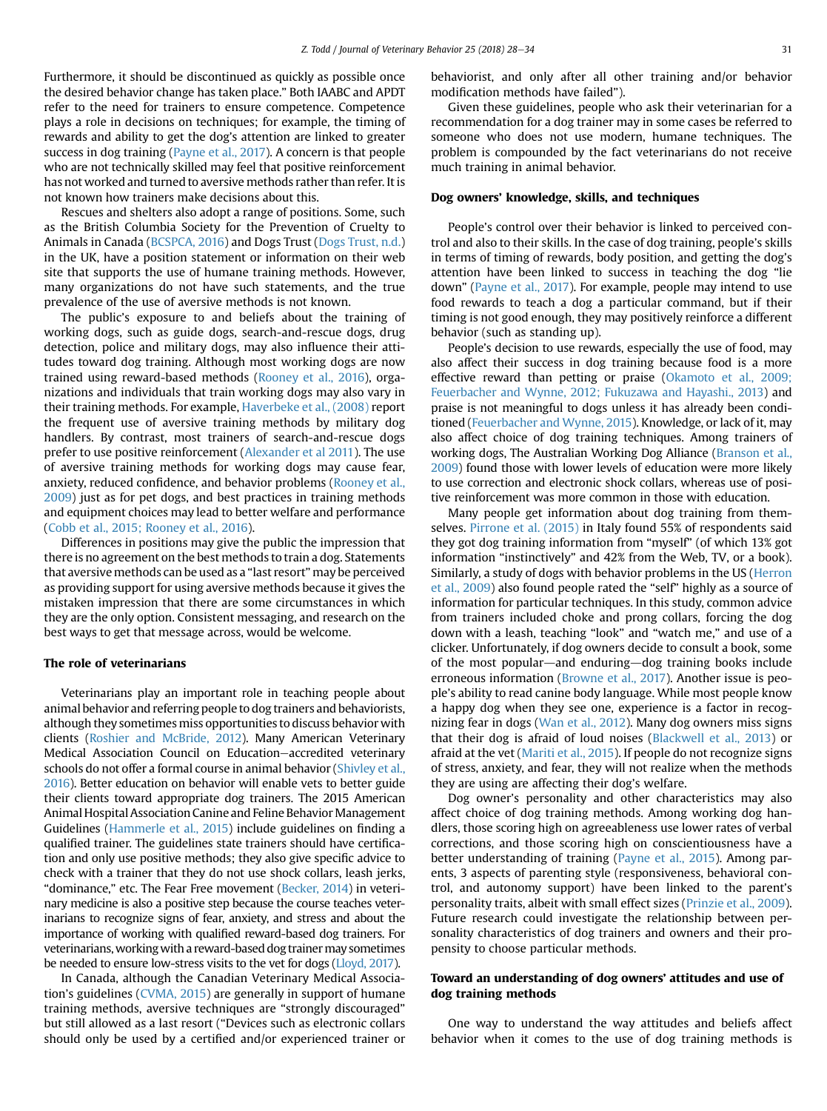Furthermore, it should be discontinued as quickly as possible once the desired behavior change has taken place." Both IAABC and APDT refer to the need for trainers to ensure competence. Competence plays a role in decisions on techniques; for example, the timing of rewards and ability to get the dog's attention are linked to greater success in dog training ([Payne et al., 2017](#page-6-0)). A concern is that people who are not technically skilled may feel that positive reinforcement has not worked and turned to aversive methods rather than refer. It is not known how trainers make decisions about this.

Rescues and shelters also adopt a range of positions. Some, such as the British Columbia Society for the Prevention of Cruelty to Animals in Canada [\(BCSPCA, 2016](#page-5-0)) and Dogs Trust [\(Dogs Trust, n.d.](#page-5-0)) in the UK, have a position statement or information on their web site that supports the use of humane training methods. However, many organizations do not have such statements, and the true prevalence of the use of aversive methods is not known.

The public's exposure to and beliefs about the training of working dogs, such as guide dogs, search-and-rescue dogs, drug detection, police and military dogs, may also influence their attitudes toward dog training. Although most working dogs are now trained using reward-based methods [\(Rooney et al., 2016\)](#page-6-0), organizations and individuals that train working dogs may also vary in their training methods. For example, [Haverbeke et al., \(2008\)](#page-5-0) report the frequent use of aversive training methods by military dog handlers. By contrast, most trainers of search-and-rescue dogs prefer to use positive reinforcement ([Alexander et al 2011\)](#page-5-0). The use of aversive training methods for working dogs may cause fear, anxiety, reduced confidence, and behavior problems [\(Rooney et al.,](#page-6-0) [2009\)](#page-6-0) just as for pet dogs, and best practices in training methods and equipment choices may lead to better welfare and performance ([Cobb et al., 2015; Rooney et al., 2016\)](#page-5-0).

Differences in positions may give the public the impression that there is no agreement on the best methods to train a dog. Statements that aversive methods can be used as a "last resort" may be perceived as providing support for using aversive methods because it gives the mistaken impression that there are some circumstances in which they are the only option. Consistent messaging, and research on the best ways to get that message across, would be welcome.

#### The role of veterinarians

Veterinarians play an important role in teaching people about animal behavior and referring people to dog trainers and behaviorists, although they sometimes miss opportunities to discuss behavior with clients [\(Roshier and McBride, 2012](#page-6-0)). Many American Veterinary Medical Association Council on Education–accredited veterinary schools do not offer a formal course in animal behavior [\(Shivley et al.,](#page-6-0) [2016\)](#page-6-0). Better education on behavior will enable vets to better guide their clients toward appropriate dog trainers. The 2015 American Animal Hospital Association Canine and Feline Behavior Management Guidelines ([Hammerle et al., 2015](#page-5-0)) include guidelines on finding a qualified trainer. The guidelines state trainers should have certification and only use positive methods; they also give specific advice to check with a trainer that they do not use shock collars, leash jerks, "dominance," etc. The Fear Free movement [\(Becker, 2014\)](#page-5-0) in veterinary medicine is also a positive step because the course teaches veterinarians to recognize signs of fear, anxiety, and stress and about the importance of working with qualified reward-based dog trainers. For veterinarians, working with a reward-based dog trainer may sometimes be needed to ensure low-stress visits to the vet for dogs [\(Lloyd, 2017](#page-6-0)).

In Canada, although the Canadian Veterinary Medical Association's guidelines ([CVMA, 2015\)](#page-5-0) are generally in support of humane training methods, aversive techniques are "strongly discouraged" but still allowed as a last resort ("Devices such as electronic collars should only be used by a certified and/or experienced trainer or

behaviorist, and only after all other training and/or behavior modification methods have failed").

Given these guidelines, people who ask their veterinarian for a recommendation for a dog trainer may in some cases be referred to someone who does not use modern, humane techniques. The problem is compounded by the fact veterinarians do not receive much training in animal behavior.

#### Dog owners' knowledge, skills, and techniques

People's control over their behavior is linked to perceived control and also to their skills. In the case of dog training, people's skills in terms of timing of rewards, body position, and getting the dog's attention have been linked to success in teaching the dog "lie down" ([Payne et al., 2017\)](#page-6-0). For example, people may intend to use food rewards to teach a dog a particular command, but if their timing is not good enough, they may positively reinforce a different behavior (such as standing up).

People's decision to use rewards, especially the use of food, may also affect their success in dog training because food is a more effective reward than petting or praise [\(Okamoto et al., 2009;](#page-6-0) [Feuerbacher and Wynne, 2012; Fukuzawa and Hayashi., 2013](#page-6-0)) and praise is not meaningful to dogs unless it has already been conditioned ([Feuerbacher and Wynne, 2015](#page-5-0)). Knowledge, or lack of it, may also affect choice of dog training techniques. Among trainers of working dogs, The Australian Working Dog Alliance [\(Branson et al.,](#page-5-0) [2009](#page-5-0)) found those with lower levels of education were more likely to use correction and electronic shock collars, whereas use of positive reinforcement was more common in those with education.

Many people get information about dog training from themselves. [Pirrone et al. \(2015\)](#page-6-0) in Italy found 55% of respondents said they got dog training information from "myself" (of which 13% got information "instinctively" and 42% from the Web, TV, or a book). Similarly, a study of dogs with behavior problems in the US [\(Herron](#page-5-0) [et al., 2009\)](#page-5-0) also found people rated the "self" highly as a source of information for particular techniques. In this study, common advice from trainers included choke and prong collars, forcing the dog down with a leash, teaching "look" and "watch me," and use of a clicker. Unfortunately, if dog owners decide to consult a book, some of the most popular—and enduring—dog training books include erroneous information ([Browne et al., 2017](#page-5-0)). Another issue is people's ability to read canine body language. While most people know a happy dog when they see one, experience is a factor in recognizing fear in dogs ([Wan et al., 2012](#page-6-0)). Many dog owners miss signs that their dog is afraid of loud noises ([Blackwell et al., 2013](#page-5-0)) or afraid at the vet ([Mariti et al., 2015\)](#page-6-0). If people do not recognize signs of stress, anxiety, and fear, they will not realize when the methods they are using are affecting their dog's welfare.

Dog owner's personality and other characteristics may also affect choice of dog training methods. Among working dog handlers, those scoring high on agreeableness use lower rates of verbal corrections, and those scoring high on conscientiousness have a better understanding of training ([Payne et al., 2015](#page-6-0)). Among parents, 3 aspects of parenting style (responsiveness, behavioral control, and autonomy support) have been linked to the parent's personality traits, albeit with small effect sizes [\(Prinzie et al., 2009](#page-6-0)). Future research could investigate the relationship between personality characteristics of dog trainers and owners and their propensity to choose particular methods.

## Toward an understanding of dog owners' attitudes and use of dog training methods

One way to understand the way attitudes and beliefs affect behavior when it comes to the use of dog training methods is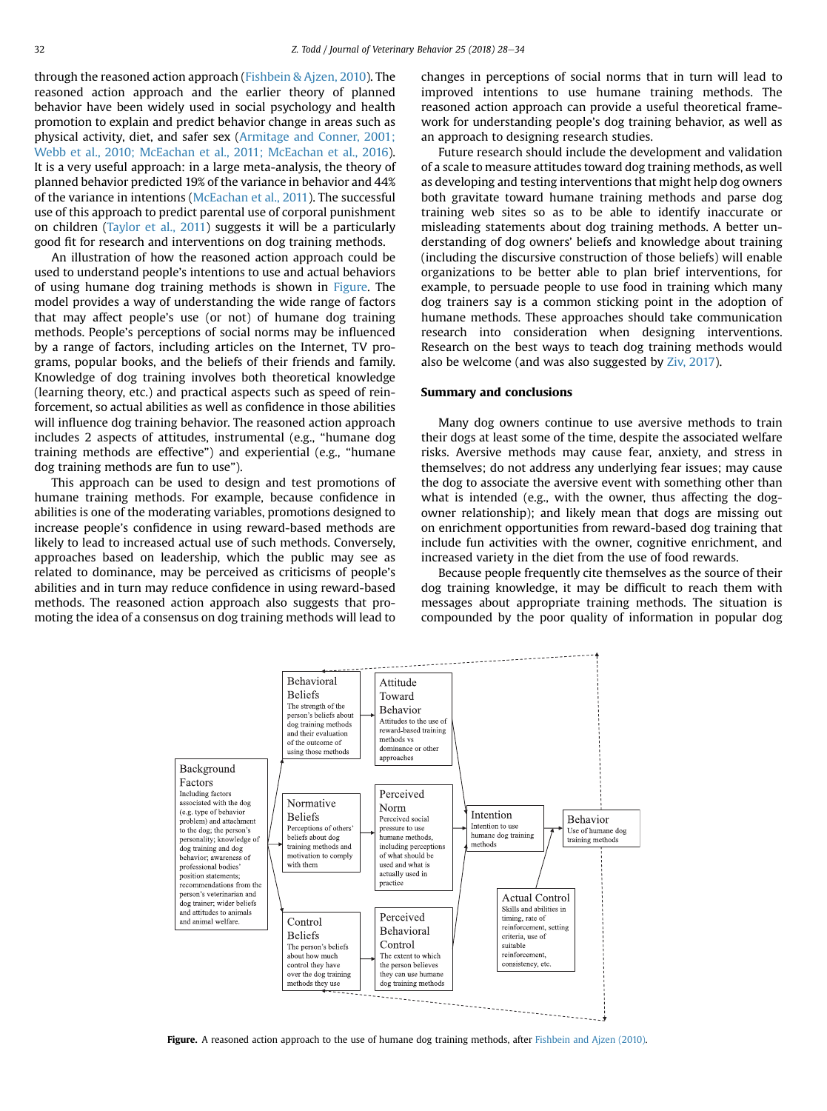through the reasoned action approach [\(Fishbein & Ajzen, 2010](#page-5-0)). The reasoned action approach and the earlier theory of planned behavior have been widely used in social psychology and health promotion to explain and predict behavior change in areas such as physical activity, diet, and safer sex ([Armitage and Conner, 2001;](#page-5-0) [Webb et al., 2010; McEachan et al., 2011; McEachan et al., 2016\)](#page-5-0). It is a very useful approach: in a large meta-analysis, the theory of planned behavior predicted 19% of the variance in behavior and 44% of the variance in intentions [\(McEachan et al., 2011\)](#page-6-0). The successful use of this approach to predict parental use of corporal punishment on children ([Taylor et al., 2011\)](#page-6-0) suggests it will be a particularly good fit for research and interventions on dog training methods.

An illustration of how the reasoned action approach could be used to understand people's intentions to use and actual behaviors of using humane dog training methods is shown in Figure. The model provides a way of understanding the wide range of factors that may affect people's use (or not) of humane dog training methods. People's perceptions of social norms may be influenced by a range of factors, including articles on the Internet, TV programs, popular books, and the beliefs of their friends and family. Knowledge of dog training involves both theoretical knowledge (learning theory, etc.) and practical aspects such as speed of reinforcement, so actual abilities as well as confidence in those abilities will influence dog training behavior. The reasoned action approach includes 2 aspects of attitudes, instrumental (e.g., "humane dog training methods are effective") and experiential (e.g., "humane dog training methods are fun to use").

This approach can be used to design and test promotions of humane training methods. For example, because confidence in abilities is one of the moderating variables, promotions designed to increase people's confidence in using reward-based methods are likely to lead to increased actual use of such methods. Conversely, approaches based on leadership, which the public may see as related to dominance, may be perceived as criticisms of people's abilities and in turn may reduce confidence in using reward-based methods. The reasoned action approach also suggests that promoting the idea of a consensus on dog training methods will lead to

changes in perceptions of social norms that in turn will lead to improved intentions to use humane training methods. The reasoned action approach can provide a useful theoretical framework for understanding people's dog training behavior, as well as an approach to designing research studies.

Future research should include the development and validation of a scale to measure attitudes toward dog training methods, as well as developing and testing interventions that might help dog owners both gravitate toward humane training methods and parse dog training web sites so as to be able to identify inaccurate or misleading statements about dog training methods. A better understanding of dog owners' beliefs and knowledge about training (including the discursive construction of those beliefs) will enable organizations to be better able to plan brief interventions, for example, to persuade people to use food in training which many dog trainers say is a common sticking point in the adoption of humane methods. These approaches should take communication research into consideration when designing interventions. Research on the best ways to teach dog training methods would also be welcome (and was also suggested by [Ziv, 2017](#page-6-0)).

#### Summary and conclusions

Many dog owners continue to use aversive methods to train their dogs at least some of the time, despite the associated welfare risks. Aversive methods may cause fear, anxiety, and stress in themselves; do not address any underlying fear issues; may cause the dog to associate the aversive event with something other than what is intended (e.g., with the owner, thus affecting the dogowner relationship); and likely mean that dogs are missing out on enrichment opportunities from reward-based dog training that include fun activities with the owner, cognitive enrichment, and increased variety in the diet from the use of food rewards.

Because people frequently cite themselves as the source of their dog training knowledge, it may be difficult to reach them with messages about appropriate training methods. The situation is compounded by the poor quality of information in popular dog



Figure. A reasoned action approach to the use of humane dog training methods, after [Fishbein and Ajzen \(2010\).](#page-5-0)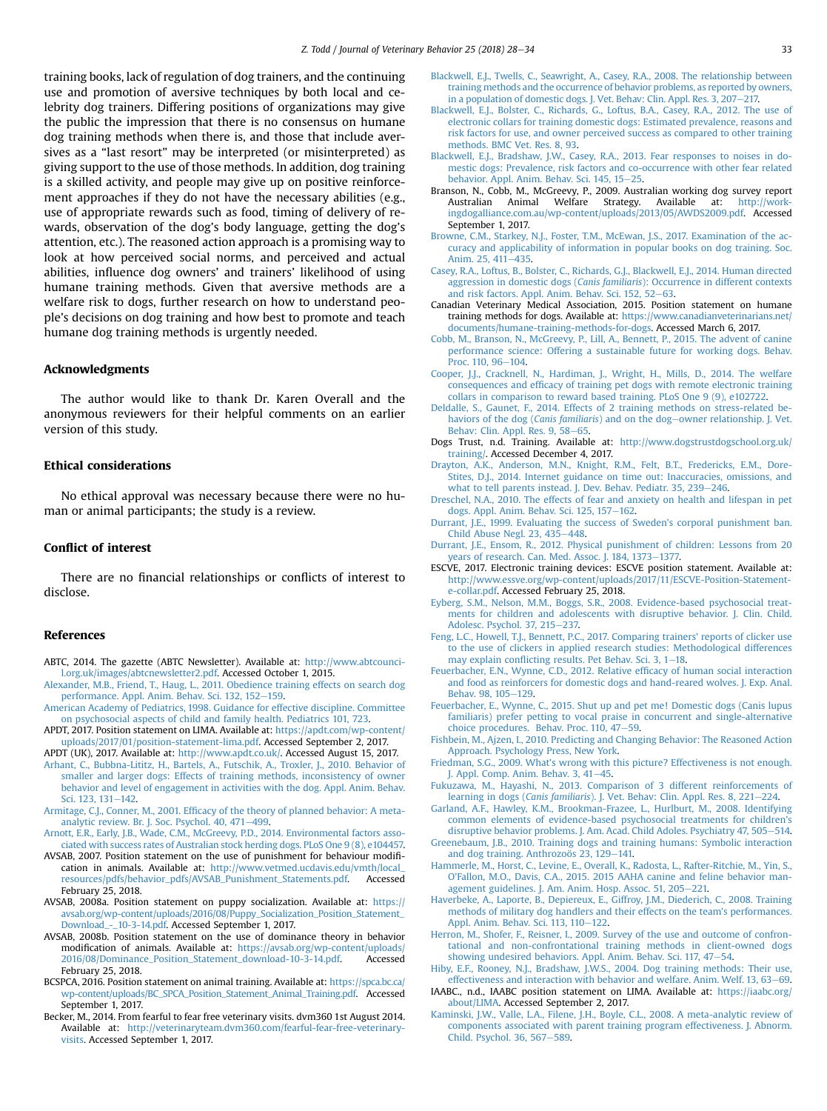<span id="page-5-0"></span>training books, lack of regulation of dog trainers, and the continuing use and promotion of aversive techniques by both local and celebrity dog trainers. Differing positions of organizations may give the public the impression that there is no consensus on humane dog training methods when there is, and those that include aversives as a "last resort" may be interpreted (or misinterpreted) as giving support to the use of those methods. In addition, dog training is a skilled activity, and people may give up on positive reinforcement approaches if they do not have the necessary abilities (e.g., use of appropriate rewards such as food, timing of delivery of rewards, observation of the dog's body language, getting the dog's attention, etc.). The reasoned action approach is a promising way to look at how perceived social norms, and perceived and actual abilities, influence dog owners' and trainers' likelihood of using humane training methods. Given that aversive methods are a welfare risk to dogs, further research on how to understand people's decisions on dog training and how best to promote and teach humane dog training methods is urgently needed.

#### Acknowledgments

The author would like to thank Dr. Karen Overall and the anonymous reviewers for their helpful comments on an earlier version of this study.

#### Ethical considerations

No ethical approval was necessary because there were no human or animal participants; the study is a review.

#### Conflict of interest

There are no financial relationships or conflicts of interest to disclose.

#### References

- ABTC, 2014. The gazette (ABTC Newsletter). Available at: [http://www.abtcounci](http://www.abtcouncil.org.uk/images/abtcnewsletter2.pdf)[l.org.uk/images/abtcnewsletter2.pdf](http://www.abtcouncil.org.uk/images/abtcnewsletter2.pdf). Accessed October 1, 2015.
- [Alexander, M.B., Friend, T., Haug, L., 2011. Obedience training effects on search dog](http://refhub.elsevier.com/S1558-7878(17)30183-1/sref2) [performance. Appl. Anim. Behav. Sci. 132, 152](http://refhub.elsevier.com/S1558-7878(17)30183-1/sref2)-[159](http://refhub.elsevier.com/S1558-7878(17)30183-1/sref2).
- [American Academy of Pediatrics, 1998. Guidance for effective discipline. Committee](http://refhub.elsevier.com/S1558-7878(17)30183-1/sref3) [on psychosocial aspects of child and family health. Pediatrics 101, 723.](http://refhub.elsevier.com/S1558-7878(17)30183-1/sref3)
- APDT, 2017. Position statement on LIMA. Available at: [https://apdt.com/wp-content/](https://apdt.com/wp-content/uploads/2017/01/position-statement-lima.pdf) [uploads/2017/01/position-statement-lima.pdf](https://apdt.com/wp-content/uploads/2017/01/position-statement-lima.pdf). Accessed September 2, 2017.
- APDT (UK), 2017. Available at: <http://www.apdt.co.uk/>. Accessed August 15, 2017. [Arhant, C., Bubbna-Lititz, H., Bartels, A., Futschik, A., Troxler, J., 2010. Behavior of](http://refhub.elsevier.com/S1558-7878(17)30183-1/sref6) [smaller and larger dogs: Effects of training methods, inconsistency of owner](http://refhub.elsevier.com/S1558-7878(17)30183-1/sref6) [behavior and level of engagement in activities with the dog. Appl. Anim. Behav.](http://refhub.elsevier.com/S1558-7878(17)30183-1/sref6) [Sci. 123, 131](http://refhub.elsevier.com/S1558-7878(17)30183-1/sref6)-[142.](http://refhub.elsevier.com/S1558-7878(17)30183-1/sref6)
- Armitage, C.J., Conner, M., 2001. Effi[cacy of the theory of planned behavior: A meta](http://refhub.elsevier.com/S1558-7878(17)30183-1/sref7)[analytic review. Br. J. Soc. Psychol. 40, 471](http://refhub.elsevier.com/S1558-7878(17)30183-1/sref7)-[499](http://refhub.elsevier.com/S1558-7878(17)30183-1/sref7).
- [Arnott, E.R., Early, J.B., Wade, C.M., McGreevy, P.D., 2014. Environmental factors asso](http://refhub.elsevier.com/S1558-7878(17)30183-1/sref8)[ciated with success rates of Australian stock herding dogs. PLoS One 9 \(8\), e104457.](http://refhub.elsevier.com/S1558-7878(17)30183-1/sref8)
- AVSAB, 2007. Position statement on the use of punishment for behaviour modification in animals. Available at: [http://www.vetmed.ucdavis.edu/vmth/local\\_](http://www.vetmed.ucdavis.edu/vmth/local_resources/pdfs/behavior_pdfs/AVSAB_Punishment_Statements.pdf) [resources/pdfs/behavior\\_pdfs/AVSAB\\_Punishment\\_Statements.pdf](http://www.vetmed.ucdavis.edu/vmth/local_resources/pdfs/behavior_pdfs/AVSAB_Punishment_Statements.pdf). Accessed February 25, 2018.
- AVSAB, 2008a. Position statement on puppy socialization. Available at: [https://](https://avsab.org/wp-content/uploads/2016/08/Puppy_Socialization_Position_Statement_Download_-_10-3-14.pdf) [avsab.org/wp-content/uploads/2016/08/Puppy\\_Socialization\\_Position\\_Statement\\_](https://avsab.org/wp-content/uploads/2016/08/Puppy_Socialization_Position_Statement_Download_-_10-3-14.pdf) [Download\\_-\\_10-3-14.pdf.](https://avsab.org/wp-content/uploads/2016/08/Puppy_Socialization_Position_Statement_Download_-_10-3-14.pdf) Accessed September 1, 2017.
- AVSAB, 2008b. Position statement on the use of dominance theory in behavior modification of animals. Available at: [https://avsab.org/wp-content/uploads/](https://avsab.org/wp-content/uploads/2016/08/Dominance_Position_Statement_download-10-3-14.pdf) [2016/08/Dominance\\_Position\\_Statement\\_download-10-3-14.pdf.](https://avsab.org/wp-content/uploads/2016/08/Dominance_Position_Statement_download-10-3-14.pdf) Accessed February 25, 2018.
- BCSPCA, 2016. Position statement on animal training. Available at: [https://spca.bc.ca/](https://spca.bc.ca/wp-content/uploads/BC_SPCA_Position_Statement_Animal_Training.pdf) [wp-content/uploads/BC\\_SPCA\\_Position\\_Statement\\_Animal\\_Training.pdf.](https://spca.bc.ca/wp-content/uploads/BC_SPCA_Position_Statement_Animal_Training.pdf) Accessed September 1, 2017.
- Becker, M., 2014. From fearful to fear free veterinary visits. dvm360 1st August 2014. Available at: [http://veterinaryteam.dvm360.com/fearful-fear-free-veterinary](http://veterinaryteam.dvm360.com/fearful-fear-free-veterinary-visits)[visits](http://veterinaryteam.dvm360.com/fearful-fear-free-veterinary-visits). Accessed September 1, 2017.
- [Blackwell, E.J., Twells, C., Seawright, A., Casey, R.A., 2008. The relationship between](http://refhub.elsevier.com/S1558-7878(17)30183-1/sref12) [training methods and the occurrence of behavior problems, as reported by owners,](http://refhub.elsevier.com/S1558-7878(17)30183-1/sref12) [in a population of domestic dogs. J. Vet. Behav: Clin. Appl. Res. 3, 207](http://refhub.elsevier.com/S1558-7878(17)30183-1/sref12)-[217.](http://refhub.elsevier.com/S1558-7878(17)30183-1/sref12)
- [Blackwell, E.J., Bolster, C., Richards, G., Loftus, B.A., Casey, R.A., 2012. The use of](http://refhub.elsevier.com/S1558-7878(17)30183-1/sref13) [electronic collars for training domestic dogs: Estimated prevalence, reasons and](http://refhub.elsevier.com/S1558-7878(17)30183-1/sref13) [risk factors for use, and owner perceived success as compared to other training](http://refhub.elsevier.com/S1558-7878(17)30183-1/sref13) [methods. BMC Vet. Res. 8, 93.](http://refhub.elsevier.com/S1558-7878(17)30183-1/sref13)
- [Blackwell, E.J., Bradshaw, J.W., Casey, R.A., 2013. Fear responses to noises in do](http://refhub.elsevier.com/S1558-7878(17)30183-1/sref14)[mestic dogs: Prevalence, risk factors and co-occurrence with other fear related](http://refhub.elsevier.com/S1558-7878(17)30183-1/sref14) [behavior. Appl. Anim. Behav. Sci. 145, 15](http://refhub.elsevier.com/S1558-7878(17)30183-1/sref14)-[25](http://refhub.elsevier.com/S1558-7878(17)30183-1/sref14).
- Branson, N., Cobb, M., McGreevy, P., 2009. Australian working dog survey report<br>Australian Animal Welfare Strategy. Available at: http://work-Australian Animal Welfare Strategy. Available at: [ingdogalliance.com.au/wp-content/uploads/2013/05/AWDS2009.pdf](http://workingdogalliance.com.au/wp-content/uploads/2013/05/AWDS2009.pdf). Accessed September 1, 2017.
- [Browne, C.M., Starkey, N.J., Foster, T.M., McEwan, J.S., 2017. Examination of the ac](http://refhub.elsevier.com/S1558-7878(17)30183-1/sref17)[curacy and applicability of information in popular books on dog training. Soc.](http://refhub.elsevier.com/S1558-7878(17)30183-1/sref17) [Anim. 25, 411](http://refhub.elsevier.com/S1558-7878(17)30183-1/sref17)-[435.](http://refhub.elsevier.com/S1558-7878(17)30183-1/sref17)
- [Casey, R.A., Loftus, B., Bolster, C., Richards, G.J., Blackwell, E.J., 2014. Human directed](http://refhub.elsevier.com/S1558-7878(17)30183-1/sref18) aggression in domestic dogs (Canis familiaris[\): Occurrence in different contexts](http://refhub.elsevier.com/S1558-7878(17)30183-1/sref18) [and risk factors. Appl. Anim. Behav. Sci. 152, 52](http://refhub.elsevier.com/S1558-7878(17)30183-1/sref18)-[63](http://refhub.elsevier.com/S1558-7878(17)30183-1/sref18).
- Canadian Veterinary Medical Association, 2015. Position statement on humane training methods for dogs. Available at: [https://www.canadianveterinarians.net/](https://www.canadianveterinarians.net/documents/humane-training-methods-for-dogs) [documents/humane-training-methods-for-dogs.](https://www.canadianveterinarians.net/documents/humane-training-methods-for-dogs) Accessed March 6, 2017.
- [Cobb, M., Branson, N., McGreevy, P., Lill, A., Bennett, P., 2015. The advent of canine](http://refhub.elsevier.com/S1558-7878(17)30183-1/sref20) [performance science: Offering a sustainable future for working dogs. Behav.](http://refhub.elsevier.com/S1558-7878(17)30183-1/sref20) [Proc. 110, 96](http://refhub.elsevier.com/S1558-7878(17)30183-1/sref20)-[104](http://refhub.elsevier.com/S1558-7878(17)30183-1/sref20).
- [Cooper, J.J., Cracknell, N., Hardiman, J., Wright, H., Mills, D., 2014. The welfare](http://refhub.elsevier.com/S1558-7878(17)30183-1/sref21) consequences and effi[cacy of training pet dogs with remote electronic training](http://refhub.elsevier.com/S1558-7878(17)30183-1/sref21) [collars in comparison to reward based training. PLoS One 9 \(9\), e102722.](http://refhub.elsevier.com/S1558-7878(17)30183-1/sref21)
- [Deldalle, S., Gaunet, F., 2014. Effects of 2 training methods on stress-related be](http://refhub.elsevier.com/S1558-7878(17)30183-1/sref22)[haviors of the dog \(](http://refhub.elsevier.com/S1558-7878(17)30183-1/sref22)Canis familiaris) and on the dog-[owner relationship. J. Vet.](http://refhub.elsevier.com/S1558-7878(17)30183-1/sref22) [Behav: Clin. Appl. Res. 9, 58](http://refhub.elsevier.com/S1558-7878(17)30183-1/sref22)-[65](http://refhub.elsevier.com/S1558-7878(17)30183-1/sref22).
- Dogs Trust, n.d. Training. Available at: [http://www.dogstrustdogschool.org.uk/](http://www.dogstrustdogschool.org.uk/training/) [training/](http://www.dogstrustdogschool.org.uk/training/). Accessed December 4, 2017.
- [Drayton, A.K., Anderson, M.N., Knight, R.M., Felt, B.T., Fredericks, E.M., Dore-](http://refhub.elsevier.com/S1558-7878(17)30183-1/sref24)[Stites, D.J., 2014. Internet guidance on time out: Inaccuracies, omissions, and](http://refhub.elsevier.com/S1558-7878(17)30183-1/sref24) [what to tell parents instead. J. Dev. Behav. Pediatr. 35, 239](http://refhub.elsevier.com/S1558-7878(17)30183-1/sref24)-[246.](http://refhub.elsevier.com/S1558-7878(17)30183-1/sref24)
- [Dreschel, N.A., 2010. The effects of fear and anxiety on health and lifespan in pet](http://refhub.elsevier.com/S1558-7878(17)30183-1/sref25) [dogs. Appl. Anim. Behav. Sci. 125, 157](http://refhub.elsevier.com/S1558-7878(17)30183-1/sref25)-[162](http://refhub.elsevier.com/S1558-7878(17)30183-1/sref25).
- [Durrant, J.E., 1999. Evaluating the success of Sweden](http://refhub.elsevier.com/S1558-7878(17)30183-1/sref26)'s corporal punishment ban. Child Abuse Negl.  $23, 435-448$ .
- [Durrant, J.E., Ensom, R., 2012. Physical punishment of children: Lessons from 20](http://refhub.elsevier.com/S1558-7878(17)30183-1/sref27) [years of research. Can. Med. Assoc. J. 184, 1373](http://refhub.elsevier.com/S1558-7878(17)30183-1/sref27)-[1377.](http://refhub.elsevier.com/S1558-7878(17)30183-1/sref27)
- ESCVE, 2017. Electronic training devices: ESCVE position statement. Available at: [http://www.essve.org/wp-content/uploads/2017/11/ESCVE-Position-Statement](http://www.essve.org/wp-content/uploads/2017/11/ESCVE-Position-Statement-e-collar.pdf)[e-collar.pdf](http://www.essve.org/wp-content/uploads/2017/11/ESCVE-Position-Statement-e-collar.pdf). Accessed February 25, 2018.
- [Eyberg, S.M., Nelson, M.M., Boggs, S.R., 2008. Evidence-based psychosocial treat](http://refhub.elsevier.com/S1558-7878(17)30183-1/sref29)[ments for children and adolescents with disruptive behavior. J. Clin. Child.](http://refhub.elsevier.com/S1558-7878(17)30183-1/sref29) [Adolesc. Psychol. 37, 215](http://refhub.elsevier.com/S1558-7878(17)30183-1/sref29)-[237.](http://refhub.elsevier.com/S1558-7878(17)30183-1/sref29)
- [Feng, L.C., Howell, T.J., Bennett, P.C., 2017. Comparing trainers](http://refhub.elsevier.com/S1558-7878(17)30183-1/sref30)' reports of clicker use [to the use of clickers in applied research studies: Methodological differences](http://refhub.elsevier.com/S1558-7878(17)30183-1/sref30) may explain confl[icting results. Pet Behav. Sci. 3, 1](http://refhub.elsevier.com/S1558-7878(17)30183-1/sref30)-[18.](http://refhub.elsevier.com/S1558-7878(17)30183-1/sref30)
- [Feuerbacher, E.N., Wynne, C.D., 2012. Relative ef](http://refhub.elsevier.com/S1558-7878(17)30183-1/sref31)ficacy of human social interaction [and food as reinforcers for domestic dogs and hand-reared wolves. J. Exp. Anal.](http://refhub.elsevier.com/S1558-7878(17)30183-1/sref31) [Behav. 98, 105](http://refhub.elsevier.com/S1558-7878(17)30183-1/sref31)-[129](http://refhub.elsevier.com/S1558-7878(17)30183-1/sref31).
- [Feuerbacher, E., Wynne, C., 2015. Shut up and pet me! Domestic dogs \(Canis lupus](http://refhub.elsevier.com/S1558-7878(17)30183-1/sref32) [familiaris\) prefer petting to vocal praise in concurrent and single-alternative](http://refhub.elsevier.com/S1558-7878(17)30183-1/sref32) [choice procedures. Behav. Proc. 110, 47](http://refhub.elsevier.com/S1558-7878(17)30183-1/sref32)-[59](http://refhub.elsevier.com/S1558-7878(17)30183-1/sref32).
- [Fishbein, M., Ajzen, I., 2010. Predicting and Changing Behavior: The Reasoned Action](http://refhub.elsevier.com/S1558-7878(17)30183-1/sref33) [Approach. Psychology Press, New York](http://refhub.elsevier.com/S1558-7878(17)30183-1/sref33).
- Friedman, S.G., 2009. What'[s wrong with this picture? Effectiveness is not enough.](http://refhub.elsevier.com/S1558-7878(17)30183-1/sref34) [J. Appl. Comp. Anim. Behav. 3, 41](http://refhub.elsevier.com/S1558-7878(17)30183-1/sref34)-[45.](http://refhub.elsevier.com/S1558-7878(17)30183-1/sref34)
- [Fukuzawa, M., Hayashi, N., 2013. Comparison of 3 different reinforcements of](http://refhub.elsevier.com/S1558-7878(17)30183-1/sref35) learning in dogs (Canis familiaris[\). J. Vet. Behav: Clin. Appl. Res. 8, 221](http://refhub.elsevier.com/S1558-7878(17)30183-1/sref35)-[224](http://refhub.elsevier.com/S1558-7878(17)30183-1/sref35).
- [Garland, A.F., Hawley, K.M., Brookman-Frazee, L., Hurlburt, M., 2008. Identifying](http://refhub.elsevier.com/S1558-7878(17)30183-1/sref36) [common elements of evidence-based psychosocial treatments for children](http://refhub.elsevier.com/S1558-7878(17)30183-1/sref36)'s [disruptive behavior problems. J. Am. Acad. Child Adoles. Psychiatry 47, 505](http://refhub.elsevier.com/S1558-7878(17)30183-1/sref36)-[514](http://refhub.elsevier.com/S1558-7878(17)30183-1/sref36).
- [Greenebaum, J.B., 2010. Training dogs and training humans: Symbolic interaction](http://refhub.elsevier.com/S1558-7878(17)30183-1/sref37) [and dog training. Anthrozoös 23, 129](http://refhub.elsevier.com/S1558-7878(17)30183-1/sref37)-[141.](http://refhub.elsevier.com/S1558-7878(17)30183-1/sref37)
- [Hammerle, M., Horst, C., Levine, E., Overall, K., Radosta, L., Rafter-Ritchie, M., Yin, S.,](http://refhub.elsevier.com/S1558-7878(17)30183-1/sref38) O'[Fallon, M.O., Davis, C.A., 2015. 2015 AAHA canine and feline behavior man](http://refhub.elsevier.com/S1558-7878(17)30183-1/sref38)[agement guidelines. J. Am. Anim. Hosp. Assoc. 51, 205](http://refhub.elsevier.com/S1558-7878(17)30183-1/sref38)-[221.](http://refhub.elsevier.com/S1558-7878(17)30183-1/sref38)
- [Haverbeke, A., Laporte, B., Depiereux, E., Giffroy, J.M., Diederich, C., 2008. Training](http://refhub.elsevier.com/S1558-7878(17)30183-1/sref39) [methods of military dog handlers and their effects on the team](http://refhub.elsevier.com/S1558-7878(17)30183-1/sref39)'s performances. [Appl. Anim. Behav. Sci. 113, 110](http://refhub.elsevier.com/S1558-7878(17)30183-1/sref39)-[122](http://refhub.elsevier.com/S1558-7878(17)30183-1/sref39).
- [Herron, M., Shofer, F., Reisner, I., 2009. Survey of the use and outcome of confron](http://refhub.elsevier.com/S1558-7878(17)30183-1/sref40)[tational and non-confrontational training methods in client-owned dogs](http://refhub.elsevier.com/S1558-7878(17)30183-1/sref40) [showing undesired behaviors. Appl. Anim. Behav. Sci. 117, 47](http://refhub.elsevier.com/S1558-7878(17)30183-1/sref40)-[54](http://refhub.elsevier.com/S1558-7878(17)30183-1/sref40).
- [Hiby, E.F., Rooney, N.J., Bradshaw, J.W.S., 2004. Dog training methods: Their use,](http://refhub.elsevier.com/S1558-7878(17)30183-1/sref41) [effectiveness and interaction with behavior and welfare. Anim. Welf. 13, 63](http://refhub.elsevier.com/S1558-7878(17)30183-1/sref41)–[69](http://refhub.elsevier.com/S1558-7878(17)30183-1/sref41).
- IAABC., n.d., IAABC position statement on LIMA. Available at: [https://iaabc.org/](https://iaabc.org/about/LIMA) [about/LIMA.](https://iaabc.org/about/LIMA) Accessed September 2, 2017.
- [Kaminski, J.W., Valle, L.A., Filene, J.H., Boyle, C.L., 2008. A meta-analytic review of](http://refhub.elsevier.com/S1558-7878(17)30183-1/sref43) [components associated with parent training program effectiveness. J. Abnorm.](http://refhub.elsevier.com/S1558-7878(17)30183-1/sref43) [Child. Psychol. 36, 567](http://refhub.elsevier.com/S1558-7878(17)30183-1/sref43)-[589](http://refhub.elsevier.com/S1558-7878(17)30183-1/sref43).